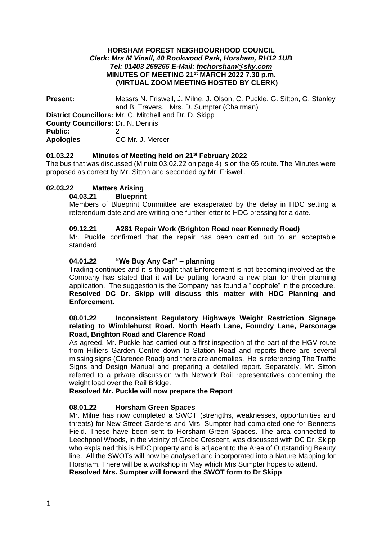### **HORSHAM FOREST NEIGHBOURHOOD COUNCIL** *Clerk: Mrs M Vinall, 40 Rookwood Park, Horsham, RH12 1UB Tel: 01403 269265 E-Mail: [fnchorsham@sky.com](about:blank)* **MINUTES OF MEETING 21st MARCH 2022 7.30 p.m. (VIRTUAL ZOOM MEETING HOSTED BY CLERK)**

| <b>Present:</b>                                               | Messrs N. Friswell, J. Milne, J. Olson, C. Puckle, G. Sitton, G. Stanley |  |  |  |
|---------------------------------------------------------------|--------------------------------------------------------------------------|--|--|--|
|                                                               | and B. Travers. Mrs. D. Sumpter (Chairman)                               |  |  |  |
| <b>District Councillors: Mr. C. Mitchell and Dr. D. Skipp</b> |                                                                          |  |  |  |
| <b>County Councillors: Dr. N. Dennis</b>                      |                                                                          |  |  |  |
| <b>Public:</b>                                                |                                                                          |  |  |  |
| <b>Apologies</b>                                              | CC Mr. J. Mercer                                                         |  |  |  |

## **01.03.22 Minutes of Meeting held on 21st February 2022**

The bus that was discussed (Minute 03.02.22 on page 4) is on the 65 route. The Minutes were proposed as correct by Mr. Sitton and seconded by Mr. Friswell.

# **02.03.22 Matters Arising**

### **04.03.21 Blueprint**

Members of Blueprint Committee are exasperated by the delay in HDC setting a referendum date and are writing one further letter to HDC pressing for a date.

## **09.12.21 A281 Repair Work (Brighton Road near Kennedy Road)**

Mr. Puckle confirmed that the repair has been carried out to an acceptable standard.

### **04.01.22 "We Buy Any Car" – planning**

Trading continues and it is thought that Enforcement is not becoming involved as the Company has stated that it will be putting forward a new plan for their planning application. The suggestion is the Company has found a "loophole" in the procedure. **Resolved DC Dr. Skipp will discuss this matter with HDC Planning and Enforcement.**

### **08.01.22 Inconsistent Regulatory Highways Weight Restriction Signage relating to Wimblehurst Road, North Heath Lane, Foundry Lane, Parsonage Road, Brighton Road and Clarence Road**

As agreed, Mr. Puckle has carried out a first inspection of the part of the HGV route from Hilliers Garden Centre down to Station Road and reports there are several missing signs (Clarence Road) and there are anomalies. He is referencing The Traffic Signs and Design Manual and preparing a detailed report. Separately, Mr. Sitton referred to a private discussion with Network Rail representatives concerning the weight load over the Rail Bridge.

## **Resolved Mr. Puckle will now prepare the Report**

## **08.01.22 Horsham Green Spaces**

Mr. Milne has now completed a SWOT (strengths, weaknesses, opportunities and threats) for New Street Gardens and Mrs. Sumpter had completed one for Bennetts Field. These have been sent to Horsham Green Spaces. The area connected to Leechpool Woods, in the vicinity of Grebe Crescent, was discussed with DC Dr. Skipp who explained this is HDC property and is adjacent to the Area of Outstanding Beauty line. All the SWOTs will now be analysed and incorporated into a Nature Mapping for Horsham. There will be a workshop in May which Mrs Sumpter hopes to attend.

**Resolved Mrs. Sumpter will forward the SWOT form to Dr Skipp**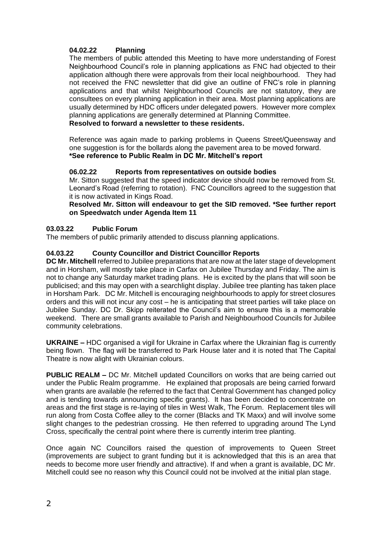# **04.02.22 Planning**

The members of public attended this Meeting to have more understanding of Forest Neighbourhood Council's role in planning applications as FNC had objected to their application although there were approvals from their local neighbourhood. They had not received the FNC newsletter that did give an outline of FNC's role in planning applications and that whilst Neighbourhood Councils are not statutory, they are consultees on every planning application in their area. Most planning applications are usually determined by HDC officers under delegated powers. However more complex planning applications are generally determined at Planning Committee. **Resolved to forward a newsletter to these residents.**

Reference was again made to parking problems in Queens Street/Queensway and one suggestion is for the bollards along the pavement area to be moved forward. **\*See reference to Public Realm in DC Mr. Mitchell's report**

# **06.02.22 Reports from representatives on outside bodies**

Mr. Sitton suggested that the speed indicator device should now be removed from St. Leonard's Road (referring to rotation). FNC Councillors agreed to the suggestion that it is now activated in Kings Road.

**Resolved Mr. Sitton will endeavour to get the SID removed. \*See further report on Speedwatch under Agenda Item 11**

# **03.03.22 Public Forum**

The members of public primarily attended to discuss planning applications.

# **04.03.22 County Councillor and District Councillor Reports**

**DC Mr. Mitchell** referred to Jubilee preparations that are now at the later stage of development and in Horsham, will mostly take place in Carfax on Jubilee Thursday and Friday. The aim is not to change any Saturday market trading plans. He is excited by the plans that will soon be publicised; and this may open with a searchlight display. Jubilee tree planting has taken place in Horsham Park. DC Mr. Mitchell is encouraging neighbourhoods to apply for street closures orders and this will not incur any cost – he is anticipating that street parties will take place on Jubilee Sunday. DC Dr. Skipp reiterated the Council's aim to ensure this is a memorable weekend. There are small grants available to Parish and Neighbourhood Councils for Jubilee community celebrations.

**UKRAINE –** HDC organised a vigil for Ukraine in Carfax where the Ukrainian flag is currently being flown. The flag will be transferred to Park House later and it is noted that The Capital Theatre is now alight with Ukrainian colours.

**PUBLIC REALM –** DC Mr. Mitchell updated Councillors on works that are being carried out under the Public Realm programme. He explained that proposals are being carried forward when grants are available (he referred to the fact that Central Government has changed policy and is tending towards announcing specific grants). It has been decided to concentrate on areas and the first stage is re-laying of tiles in West Walk, The Forum. Replacement tiles will run along from Costa Coffee alley to the corner (Blacks and TK Maxx) and will involve some slight changes to the pedestrian crossing. He then referred to upgrading around The Lynd Cross, specifically the central point where there is currently interim tree planting.

Once again NC Councillors raised the question of improvements to Queen Street (improvements are subject to grant funding but it is acknowledged that this is an area that needs to become more user friendly and attractive). If and when a grant is available, DC Mr. Mitchell could see no reason why this Council could not be involved at the initial plan stage.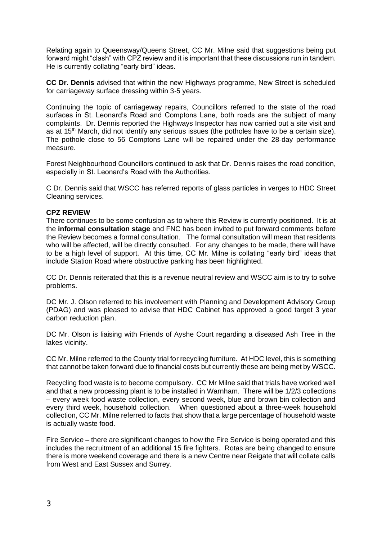Relating again to Queensway/Queens Street, CC Mr. Milne said that suggestions being put forward might "clash" with CPZ review and it is important that these discussions run in tandem. He is currently collating "early bird" ideas.

**CC Dr. Dennis** advised that within the new Highways programme, New Street is scheduled for carriageway surface dressing within 3-5 years.

Continuing the topic of carriageway repairs, Councillors referred to the state of the road surfaces in St. Leonard's Road and Comptons Lane, both roads are the subject of many complaints. Dr. Dennis reported the Highways Inspector has now carried out a site visit and as at 15<sup>th</sup> March, did not identify any serious issues (the potholes have to be a certain size). The pothole close to 56 Comptons Lane will be repaired under the 28-day performance measure.

Forest Neighbourhood Councillors continued to ask that Dr. Dennis raises the road condition, especially in St. Leonard's Road with the Authorities.

C Dr. Dennis said that WSCC has referred reports of glass particles in verges to HDC Street Cleaning services.

### **CPZ REVIEW**

There continues to be some confusion as to where this Review is currently positioned. It is at the **informal consultation stage** and FNC has been invited to put forward comments before the Review becomes a formal consultation. The formal consultation will mean that residents who will be affected, will be directly consulted. For any changes to be made, there will have to be a high level of support. At this time, CC Mr. Milne is collating "early bird" ideas that include Station Road where obstructive parking has been highlighted.

CC Dr. Dennis reiterated that this is a revenue neutral review and WSCC aim is to try to solve problems.

DC Mr. J. Olson referred to his involvement with Planning and Development Advisory Group (PDAG) and was pleased to advise that HDC Cabinet has approved a good target 3 year carbon reduction plan.

DC Mr. Olson is liaising with Friends of Ayshe Court regarding a diseased Ash Tree in the lakes vicinity.

CC Mr. Milne referred to the County trial for recycling furniture. At HDC level, this is something that cannot be taken forward due to financial costs but currently these are being met by WSCC.

Recycling food waste is to become compulsory. CC Mr Milne said that trials have worked well and that a new processing plant is to be installed in Warnham. There will be 1/2/3 collections – every week food waste collection, every second week, blue and brown bin collection and every third week, household collection. When questioned about a three-week household collection, CC Mr. Milne referred to facts that show that a large percentage of household waste is actually waste food.

Fire Service – there are significant changes to how the Fire Service is being operated and this includes the recruitment of an additional 15 fire fighters. Rotas are being changed to ensure there is more weekend coverage and there is a new Centre near Reigate that will collate calls from West and East Sussex and Surrey.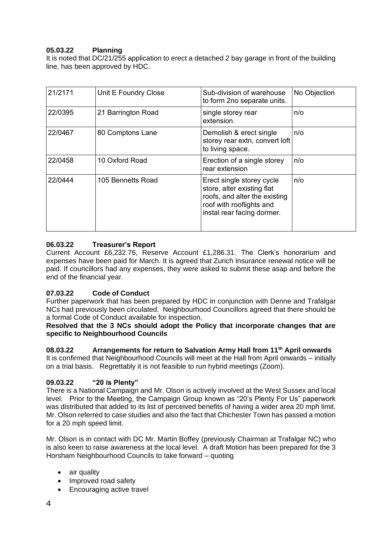# **05.03.22 Planning**

It is noted that DC/21/255 application to erect a detached 2 bay garage in front of the building line, has been approved by HDC.

| 21/2171 | Unit E Foundry Close | Sub-division of warehouse<br>to form 2no separate units.                                                                                           | No Objection |
|---------|----------------------|----------------------------------------------------------------------------------------------------------------------------------------------------|--------------|
| 22/0395 | 21 Barrington Road   | single storey rear<br>extension.                                                                                                                   | $n/\sigma$   |
| 22/0467 | 80 Comptons Lane     | Demolish & erect single<br>storey rear extn, convert loft<br>to living space.                                                                      | n/o          |
| 22/0458 | 10 Oxford Road       | Erection of a single storey<br>rear extension                                                                                                      | n/o          |
| 22/0444 | 105 Bennetts Road    | Erect single storey cycle<br>store, alter existing flat<br>roofs, and alter the existing<br>roof with rooflights and<br>instal rear facing dormer. | n/o          |

# **06.03.22 Treasurer's Report**

Current Account £6,232.76, Reserve Account £1,286.31. The Clerk's honorarium and expenses have been paid for March. It is agreed that Zurich Insurance renewal notice will be paid. If councillors had any expenses, they were asked to submit these asap and before the end of the financial year.

# **07.03.22 Code of Conduct**

Further paperwork that has been prepared by HDC in conjunction with Denne and Trafalgar NCs had previously been circulated. Neighbourhood Councillors agreed that there should be a formal Code of Conduct available for inspection.

## **Resolved that the 3 NCs should adopt the Policy that incorporate changes that are specific to Neighbourhood Councils**

## **08.03.22 Arrangements for return to Salvation Army Hall from 11th April onwards**

It is confirmed that Neighbourhood Councils will meet at the Hall from April onwards – initially on a trial basis. Regrettably it is not feasible to run hybrid meetings (Zoom).

# **09.03.22 "20 is Plenty"**

There is a National Campaign and Mr. Olson is actively involved at the West Sussex and local level.Prior to the Meeting, the Campaign Group known as "20's Plenty For Us" paperwork was distributed that added to its list of perceived benefits of having a wider area 20 mph limit. Mr. Olson referred to case studies and also the fact that Chichester Town has passed a motion for a 20 mph speed limit.

Mr. Olson is in contact with DC Mr. Martin Boffey (previously Chairman at Trafalgar NC) who is also keen to raise awareness at the local level. A draft Motion has been prepared for the 3 Horsham Neighbourhood Councils to take forward – quoting

- air quality
- Improved road safety
- Encouraging active travel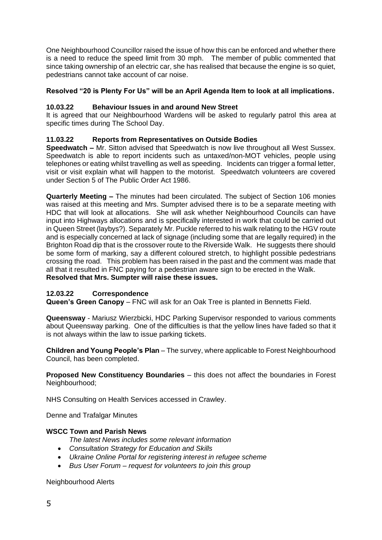One Neighbourhood Councillor raised the issue of how this can be enforced and whether there is a need to reduce the speed limit from 30 mph. The member of public commented that since taking ownership of an electric car, she has realised that because the engine is so quiet, pedestrians cannot take account of car noise.

# **Resolved "20 is Plenty For Us" will be an April Agenda Item to look at all implications.**

## **10.03.22 Behaviour Issues in and around New Street**

It is agreed that our Neighbourhood Wardens will be asked to regularly patrol this area at specific times during The School Day.

# **11.03.22 Reports from Representatives on Outside Bodies**

**Speedwatch –** Mr. Sitton advised that Speedwatch is now live throughout all West Sussex. Speedwatch is able to report incidents such as untaxed/non-MOT vehicles, people using telephones or eating whilst travelling as well as speeding. Incidents can trigger a formal letter, visit or visit explain what will happen to the motorist. Speedwatch volunteers are covered under Section 5 of The Public Order Act 1986.

**Quarterly Meeting –** The minutes had been circulated. The subject of Section 106 monies was raised at this meeting and Mrs. Sumpter advised there is to be a separate meeting with HDC that will look at allocations. She will ask whether Neighbourhood Councils can have input into Highways allocations and is specifically interested in work that could be carried out in Queen Street (laybys?). Separately Mr. Puckle referred to his walk relating to the HGV route and is especially concerned at lack of signage (including some that are legally required) in the Brighton Road dip that is the crossover route to the Riverside Walk. He suggests there should be some form of marking, say a different coloured stretch, to highlight possible pedestrians crossing the road. This problem has been raised in the past and the comment was made that all that it resulted in FNC paying for a pedestrian aware sign to be erected in the Walk. **Resolved that Mrs. Sumpter will raise these issues.** 

## **12.03.22 Correspondence**

**Queen's Green Canopy** – FNC will ask for an Oak Tree is planted in Bennetts Field.

**Queensway** - Mariusz Wierzbicki, HDC Parking Supervisor responded to various comments about Queensway parking. One of the difficulties is that the yellow lines have faded so that it is not always within the law to issue parking tickets.

**Children and Young People's Plan** – The survey, where applicable to Forest Neighbourhood Council, has been completed.

**Proposed New Constituency Boundaries** – this does not affect the boundaries in Forest Neighbourhood:

NHS Consulting on Health Services accessed in Crawley.

Denne and Trafalgar Minutes

# **WSCC Town and Parish News**

- *The latest News includes some relevant information*
- *Consultation Strategy for Education and Skills*
- *Ukraine Online Portal for registering interest in refugee scheme*
- *Bus User Forum – request for volunteers to join this group*

Neighbourhood Alerts